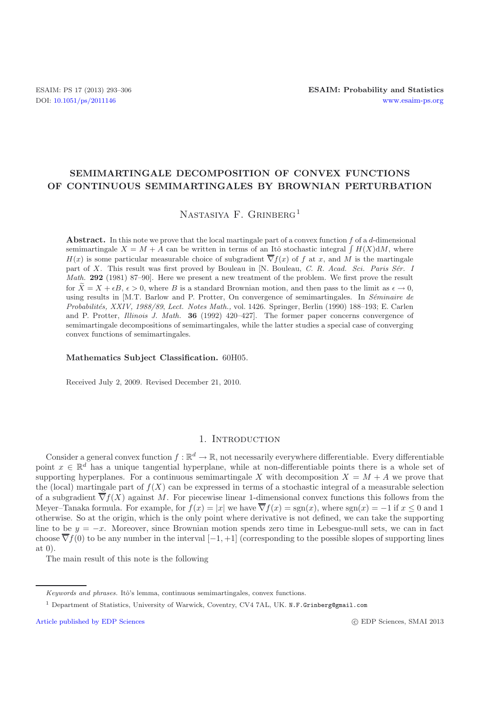# **SEMIMARTINGALE DECOMPOSITION OF CONVEX FUNCTIONS OF CONTINUOUS SEMIMARTINGALES BY BROWNIAN PERTURBATION**

NASTASIYA F. GRINBERG<sup>1</sup>

**Abstract.** In this note we prove that the local martingale part of a convex function  $f$  of a  $d$ -dimensional semimartingale  $X = M + A$  can be written in terms of an Itô stochastic integral  $\int H(X)dM$ , where  $H(x)$  is some particular measurable choice of subgradient  $\overline{\nabla}f(x)$  of f at x, and M is the martingale part of X. This result was first proved by Bouleau in [N. Bouleau, *C. R. Acad. Sci. Paris Sér. I Math.* **292** (1981) 87–90]. Here we present a new treatment of the problem. We first prove the result for  $\tilde{X} = X + \epsilon B, \epsilon > 0$ , where B is a standard Brownian motion, and then pass to the limit as  $\epsilon \to 0$ , using results in [M.T. Barlow and P. Protter, On convergence of semimartingales. In *Séminaire de Probabilit´es, XXIV, 1988/89*, *Lect. Notes Math.,* vol. 1426. Springer, Berlin (1990) 188–193; E. Carlen and P. Protter, *Illinois J. Math.* **36** (1992) 420–427]. The former paper concerns convergence of semimartingale decompositions of semimartingales, while the latter studies a special case of converging convex functions of semimartingales.

**Mathematics Subject Classification.** 60H05.

Received July 2, 2009. Revised December 21, 2010.

# 1. INTRODUCTION

Consider a general convex function  $f : \mathbb{R}^d \to \mathbb{R}$ , not necessarily everywhere differentiable. Every differentiable point  $x \in \mathbb{R}^d$  has a unique tangential hyperplane, while at non-differentiable points there is a whole set of supporting hyperplanes. For a continuous semimartingale X with decomposition  $X = M + A$  we prove that the (local) martingale part of  $f(X)$  can be expressed in terms of a stochastic integral of a measurable selection of a subgradient  $\overline{\nabla}f(X)$  against M. For piecewise linear 1-dimensional convex functions this follows from the Meyer–Tanaka formula. For example, for  $f(x) = |x|$  we have  $\overline{\nabla} f(x) = \text{sgn}(x)$ , where  $\text{sgn}(x) = -1$  if  $x \leq 0$  and 1 otherwise. So at the origin, which is the only point where derivative is not defined, we can take the supporting line to be  $y = -x$ . Moreover, since Brownian motion spends zero time in Lebesgue-null sets, we can in fact choose  $\overline{\nabla}f(0)$  to be any number in the interval  $[-1, +1]$  (corresponding to the possible slopes of supporting lines at 0).

The main result of this note is the following

c EDP Sciences, SMAI 2013

Keywords and phrases. Itô's lemma, continuous semimartingales, convex functions.

<sup>1</sup> Department of Statistics, University of Warwick, Coventry, CV4 7AL, UK. N.F.Grinberg@gmail.com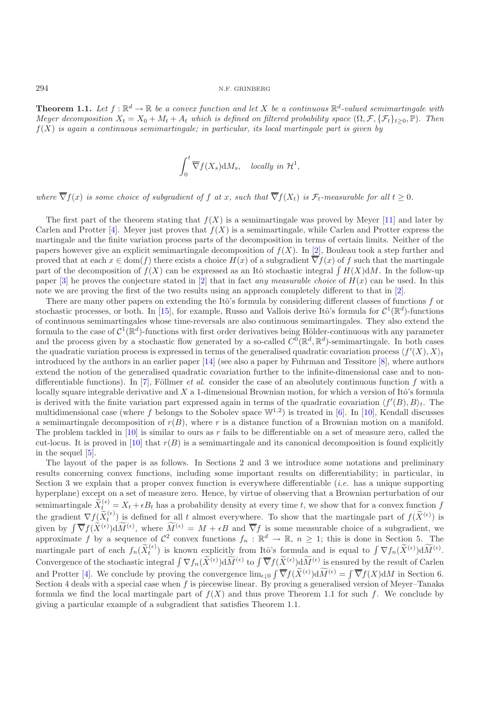<span id="page-1-0"></span>**Theorem 1.1.** Let  $f : \mathbb{R}^d \to \mathbb{R}$  be a convex function and let X be a continuous  $\mathbb{R}^d$ -valued semimartingale with *Meyer decomposition*  $X_t = X_0 + M_t + A_t$  *which is defined on filtered probability space*  $(\Omega, \mathcal{F}, \{\mathcal{F}_t\}_{t>0}, \mathbb{P})$ *. Then* f(X) *is again a continuous semimartingale; in particular, its local martingale part is given by*

$$
\int_0^t \overline{\nabla} f(X_s) {\rm d} M_s, \quad \text{locally in } \mathcal{H}^1,
$$

*where*  $\overline{\nabla} f(x)$  *is some choice of subgradient of* f *at* x, *such that*  $\overline{\nabla} f(X_t)$  *is*  $\mathcal{F}_t$ -measurable for all  $t \geq 0$ .

The first part of the theorem stating that  $f(X)$  is a semimartingale was proved by Meyer [\[11](#page-13-0)] and later by Carlen and Protter [\[4\]](#page-13-1). Meyer just proves that  $f(X)$  is a semimartingale, while Carlen and Protter express the martingale and the finite variation process parts of the decomposition in terms of certain limits. Neither of the papers however give an explicit semimartingale decomposition of  $f(X)$ . In [\[2](#page-13-2)], Bouleau took a step further and proved that at each  $x \in \text{dom}(f)$  there exists a choice  $H(x)$  of a subgradient  $\overline{\nabla} f(x)$  of f such that the martingale part of the decomposition of  $f(X)$  can be expressed as an Itô stochastic integral  $\int H(X)dM$ . In the follow-up paper  $[3]$  he proves the conjecture stated in  $[2]$  that in fact *any measurable choice* of  $H(x)$  can be used. In this note we are proving the first of the two results using an approach completely different to that in [\[2\]](#page-13-2).

There are many other papers on extending the Itô's formula by considering different classes of functions  $f$  or stochastic processes, or both. In [\[15\]](#page-13-4), for example, Russo and Vallois derive Itô's formula for  $\mathcal{C}^1(\mathbb{R}^d)$ -functions of continuous semimartingales whose time-reversals are also continuous semimartingales. They also extend the formula to the case of  $C^1(\mathbb{R}^d)$ -functions with first order derivatives being Hölder-continuous with any parameter and the process given by a stochastic flow generated by a so-called  $C^0(\mathbb{R}^d, \mathbb{R}^d)$ -semimartingale. In both cases the quadratic variation process is expressed in terms of the generalised quadratic covariation process  $\langle f'(X), X \rangle_t$ introduced by the authors in an earlier paper  $[14]$  (see also a paper by Fuhrman and Tessitore  $[8]$ , where authors extend the notion of the generalised quadratic covariation further to the infinite-dimensional case and to nondifferentiable functions). In  $[7]$ , Föllmer *et al.* consider the case of an absolutely continuous function f with a locally square integrable derivative and  $X$  a 1-dimensional Brownian motion, for which a version of Itô's formula is derived with the finite variation part expressed again in terms of the quadratic covariation  $\langle f'(B), B \rangle_t$ . The multidimensional case (where f belongs to the Sobolev space  $\mathbb{W}^{1,2}$ ) is treated in [\[6](#page-13-8)]. In [\[10\]](#page-13-9), Kendall discusses a semimartingale decomposition of  $r(B)$ , where r is a distance function of a Brownian motion on a manifold. The problem tackled in  $[10]$  $[10]$  is similar to ours as r fails to be differentiable on a set of measure zero, called the cut-locus. It is proved in [\[10\]](#page-13-9) that  $r(B)$  is a semimartingale and its canonical decomposition is found explicitly in the sequel [\[5](#page-13-10)].

The layout of the paper is as follows. In Sections 2 and 3 we introduce some notations and preliminary results concerning convex functions, including some important results on differentiability; in particular, in Section 3 we explain that a proper convex function is everywhere differentiable (*i.e.* has a unique supporting hyperplane) except on a set of measure zero. Hence, by virtue of observing that a Brownian perturbation of our semimartingale  $\tilde{X}_{t}^{(\epsilon)} = X_t + \epsilon B_t$  has a probability density at every time t, we show that for a convex function f the gradient  $\nabla f(\tilde{X}_{t}^{(\epsilon)})$  is defined for all t almost everywhere. To show that the martingale part of  $f(\tilde{X}^{(\epsilon)})$  is given by  $\int \overline{\nabla} f(\widetilde{X}^{(\epsilon)}) d\widetilde{M}^{(\epsilon)}$ , where  $\widetilde{M}^{(\epsilon)} = M + \epsilon B$  and  $\overline{\nabla} f$  is some measurable choice of a subgradient, we approximate f by a sequence of  $\mathcal{C}^2$  convex functions  $f_n : \mathbb{R}^d \to \mathbb{R}, n \geq 1$ ; this is done in Section 5. The martingale part of each  $f_n(\tilde{X}_t^{(\epsilon)})$  is known explicitly from Itô's formula and is equal to  $\int \nabla f_n(\tilde{X}^{(\epsilon)}) d\widetilde{M}^{(\epsilon)}$ . Convergence of the stochastic integral  $\int \nabla f_n(\tilde{X}^{(\epsilon)}) d\widetilde{M}^{(\epsilon)}$  to  $\int \overline{\nabla} f(\tilde{X}^{(\epsilon)}) d\widetilde{M}^{(\epsilon)}$  is ensured by the result of Carlen and Protter [\[4](#page-13-1)]. We conclude by proving the convergence  $\lim_{\epsilon \downarrow 0} \int \overline{\nabla} f(\tilde{X}^{(\epsilon)}) d\widetilde{M}^{(\epsilon)} = \int \overline{\nabla} f(X) dM$  in Section 6. Section 4 deals with a special case when  $f$  is piecewise linear. By proving a generalised version of Meyer–Tanaka formula we find the local martingale part of  $f(X)$  and thus prove Theorem 1.1 for such f. We conclude by giving a particular example of a subgradient that satisfies Theorem 1.1.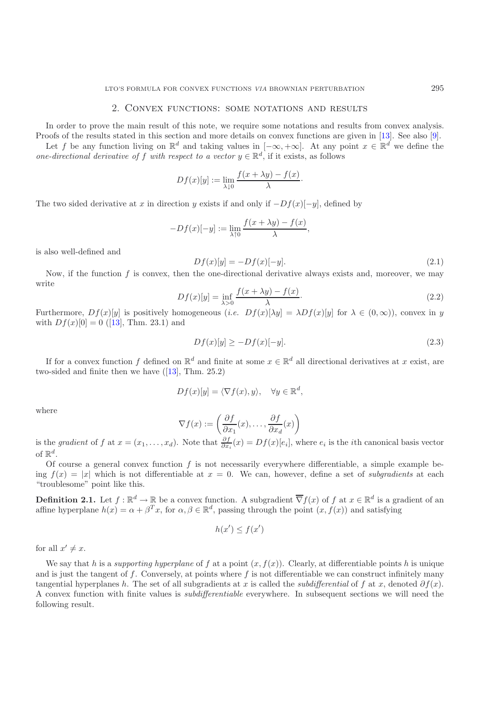### 2. Convex functions: some notations and results

In order to prove the main result of this note, we require some notations and results from convex analysis. Proofs of the results stated in this section and more details on convex functions are given in [\[13](#page-13-11)]. See also [\[9\]](#page-13-12).

Let f be any function living on  $\mathbb{R}^d$  and taking values in  $[-\infty, +\infty]$ . At any point  $x \in \mathbb{R}^d$  we define the *one-directional derivative of* f *with respect to a vector*  $y \in \mathbb{R}^d$ , if it exists, as follows

$$
Df(x)[y] := \lim_{\lambda \downarrow 0} \frac{f(x + \lambda y) - f(x)}{\lambda}.
$$

The two sided derivative at x in direction y exists if and only if  $-Df(x)[-y]$ , defined by

$$
-Df(x)[-y] := \lim_{\lambda \uparrow 0} \frac{f(x + \lambda y) - f(x)}{\lambda},
$$

is also well-defined and

$$
Df(x)[y] = -Df(x)[-y].
$$
\n(2.1)

Now, if the function  $f$  is convex, then the one-directional derivative always exists and, moreover, we may write

<span id="page-2-0"></span>
$$
Df(x)[y] = \inf_{\lambda > 0} \frac{f(x + \lambda y) - f(x)}{\lambda}.
$$
\n(2.2)

Furthermore,  $Df(x)[y]$  is positively homogeneous (*i.e.*  $Df(x)[\lambda y] = \lambda Df(x)[y]$  for  $\lambda \in (0,\infty)$ ), convex in y with  $Df(x)[0] = 0$  ([\[13](#page-13-11)], Thm. 23.1) and

$$
Df(x)[y] \ge -Df(x)[-y].\tag{2.3}
$$

If for a convex function f defined on  $\mathbb{R}^d$  and finite at some  $x \in \mathbb{R}^d$  all directional derivatives at x exist, are two-sided and finite then we have  $(13)$ , Thm. 25.2)

$$
Df(x)[y] = \langle \nabla f(x), y \rangle, \quad \forall y \in \mathbb{R}^d,
$$

where

$$
\nabla f(x) := \left(\frac{\partial f}{\partial x_1}(x), \dots, \frac{\partial f}{\partial x_d}(x)\right)
$$

is the *gradient* of f at  $x = (x_1, \ldots, x_d)$ . Note that  $\frac{\partial f}{\partial x_i}(x) = Df(x)[e_i]$ , where  $e_i$  is the *i*th canonical basis vector of  $\mathbb{R}^d.$ 

Of course a general convex function  $f$  is not necessarily everywhere differentiable, a simple example being  $f(x) = |x|$  which is not differentiable at  $x = 0$ . We can, however, define a set of *subgradients* at each "troublesome" point like this.

**Definition 2.1.** Let  $f : \mathbb{R}^d \to \mathbb{R}$  be a convex function. A subgradient  $\overline{\nabla} f(x)$  of f at  $x \in \mathbb{R}^d$  is a gradient of an affine hyperplane  $h(x) = \alpha + \beta^T x$ , for  $\alpha, \beta \in \mathbb{R}^d$ , passing through the point  $(x, f(x))$  and satisfying

$$
h(x') \le f(x')
$$

for all  $x' \neq x$ .

<span id="page-2-1"></span>We say that h is a *supporting hyperplane* of f at a point  $(x, f(x))$ . Clearly, at differentiable points h is unique and is just the tangent of f. Conversely, at points where f is not differentiable we can construct infinitely many tangential hyperplanes h. The set of all subgradients at x is called the *subdifferential* of f at x, denoted  $\partial f(x)$ . A convex function with finite values is *subdifferentiable* everywhere. In subsequent sections we will need the following result.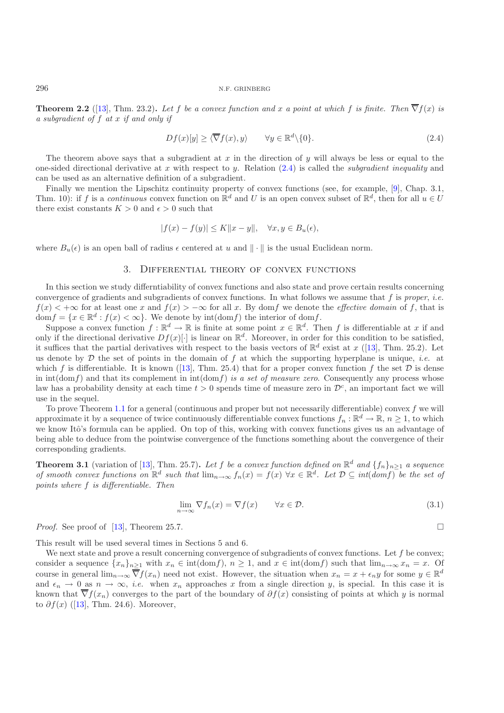**Theorem 2.2** ([\[13\]](#page-13-11), Thm. 23.2). Let f be a convex function and x a point at which f is finite. Then  $\overline{\nabla} f(x)$  is *a subgradient of* f *at* x *if and only if*

<span id="page-3-0"></span>
$$
Df(x)[y] \ge \langle \overline{\nabla} f(x), y \rangle \qquad \forall y \in \mathbb{R}^d \setminus \{0\}. \tag{2.4}
$$

The theorem above says that a subgradient at  $x$  in the direction of  $y$  will always be less or equal to the one-sided directional derivative at x with respect to y. Relation [\(2.4\)](#page-3-0) is called the *subgradient inequality* and can be used as an alternative definition of a subgradient.

Finally we mention the Lipschitz continuity property of convex functions (see, for example, [\[9](#page-13-12)], Chap. 3.1, Thm. 10): if f is a *continuous* convex function on  $\mathbb{R}^d$  and U is an open convex subset of  $\mathbb{R}^d$ , then for all  $u \in U$ there exist constants  $K > 0$  and  $\epsilon > 0$  such that

$$
|f(x) - f(y)| \le K ||x - y||, \quad \forall x, y \in B_u(\epsilon),
$$

where  $B_u(\epsilon)$  is an open ball of radius  $\epsilon$  centered at u and  $\|\cdot\|$  is the usual Euclidean norm.

### 3. Differential theory of convex functions

In this section we study differntiability of convex functions and also state and prove certain results concerning convergence of gradients and subgradients of convex functions. In what follows we assume that f is *proper*, *i.e.*  $f(x) < +\infty$  for at least one x and  $f(x) > -\infty$  for all x. By domf we denote the *effective domain* of f, that is dom  $f = \{x \in \mathbb{R}^d : f(x) < \infty\}$ . We denote by  $\text{int}(\text{dom} f)$  the interior of dom f.

Suppose a convex function  $f : \mathbb{R}^d \to \mathbb{R}$  is finite at some point  $x \in \mathbb{R}^d$ . Then f is differentiable at x if and only if the directional derivative  $Df(x)[\cdot]$  is linear on  $\mathbb{R}^d$ . Moreover, in order for this condition to be satisfied, it suffices that the partial derivatives with respect to the basis vectors of  $\mathbb{R}^d$  exist at x ([\[13](#page-13-11)], Thm. 25.2). Let us denote by  $D$  the set of points in the domain of  $f$  at which the supporting hyperplane is unique, *i.e.* at which f is differentiable. It is known ([\[13](#page-13-11)], Thm. 25.4) that for a proper convex function f the set  $\mathcal D$  is dense in int(domf) and that its complement in int(domf) *is a set of measure zero*. Consequently any process whose law has a probability density at each time  $t > 0$  spends time of measure zero in  $\mathcal{D}^c$ , an important fact we will use in the sequel.

To prove Theorem [1.1](#page-1-0) for a general (continuous and proper but not necessarily differentiable) convex  $f$  we will approximate it by a sequence of twice continuously differentiable convex functions  $f_n : \mathbb{R}^d \to \mathbb{R}, n \ge 1$ , to which we know Itô's formula can be applied. On top of this, working with convex functions gives us an advantage of being able to deduce from the pointwise convergence of the functions something about the convergence of their corresponding gradients.

**Theorem 3.1** (variation of [\[13](#page-13-11)], Thm. 25.7). Let f be a convex function defined on  $\mathbb{R}^d$  and  $\{f_n\}_{n>1}$  a sequence *of smooth convex functions on*  $\mathbb{R}^d$  *such that*  $\lim_{n\to\infty} f_n(x) = f(x)$   $\forall x \in \mathbb{R}^d$ . Let  $\mathcal{D} \subseteq int(domf)$  be the set of *points where* f *is differentiable. Then*

$$
\lim_{n \to \infty} \nabla f_n(x) = \nabla f(x) \qquad \forall x \in \mathcal{D}.
$$
\n(3.1)

 $\Box$ 

*Proof.* See proof of  $[13]$ , Theorem 25.7.

This result will be used several times in Sections 5 and 6.

<span id="page-3-1"></span>We next state and prove a result concerning convergence of subgradients of convex functions. Let  $f$  be convex; consider a sequence  $\{x_n\}_{n\geq 1}$  with  $x_n \in \text{int}(\text{dom} f), n \geq 1$ , and  $x \in \text{int}(\text{dom} f)$  such that  $\lim_{n\to\infty} x_n = x$ . Of course in general  $\lim_{n\to\infty} \overline{\nabla} f(x_n)$  need not exist. However, the situation when  $x_n = x + \epsilon_n y$  for some  $y \in \mathbb{R}^d$ and  $\epsilon_n \to 0$  as  $n \to \infty$ , *i.e.* when  $x_n$  approaches x from a single direction y, is special. In this case it is known that  $\overline{\nabla}f(x_n)$  converges to the part of the boundary of  $\partial f(x)$  consisting of points at which y is normal to  $\partial f(x)$  ([\[13](#page-13-11)], Thm. 24.6). Moreover,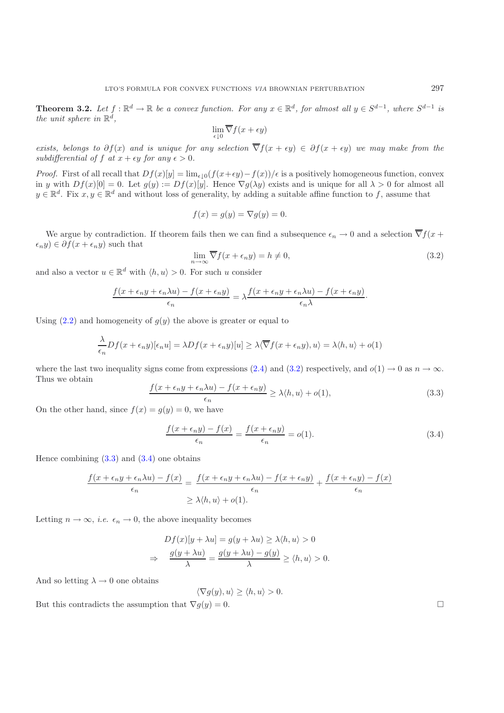**Theorem 3.2.** *Let*  $f : \mathbb{R}^d \to \mathbb{R}$  *be a convex function. For any*  $x \in \mathbb{R}^d$ *, for almost all*  $y \in S^{d-1}$ *, where*  $S^{d-1}$  *is the unit sphere in*  $\mathbb{R}^d$ *.* 

$$
\lim_{\epsilon \downarrow 0} \overline{\nabla} f(x + \epsilon y)
$$

*exists, belongs to*  $\partial f(x)$  *and is unique for any selection*  $\nabla f(x + \epsilon y) \in \partial f(x + \epsilon y)$  *we may make from the* subdifferential of f at  $x + \epsilon y$  for any  $\epsilon > 0$ .

*Proof.* First of all recall that  $Df(x)[y] = \lim_{\epsilon \downarrow 0} (f(x+\epsilon y) - f(x))/\epsilon$  is a positively homogeneous function, convex in y with  $Df(x)[0] = 0$ . Let  $g(y) := Df(x)[y]$ . Hence  $\nabla g(\lambda y)$  exists and is unique for all  $\lambda > 0$  for almost all  $y \in \mathbb{R}^d$ . Fix  $x, y \in \mathbb{R}^d$  and without loss of generality, by adding a suitable affine function to f, assume that

$$
f(x) = g(y) = \nabla g(y) = 0.
$$

We argue by contradiction. If theorem fails then we can find a subsequence  $\epsilon_n \to 0$  and a selection  $\overline{\nabla} f(x +$  $\epsilon_n y$ )  $\in \partial f(x + \epsilon_n y)$  such that

$$
\lim_{n \to \infty} \overline{\nabla} f(x + \epsilon_n y) = h \neq 0,
$$
\n(3.2)

and also a vector  $u \in \mathbb{R}^d$  with  $\langle h, u \rangle > 0$ . For such u consider

<span id="page-4-0"></span>
$$
\frac{f(x+\epsilon_n y+\epsilon_n\lambda u)-f(x+\epsilon_n y)}{\epsilon_n}=\lambda\frac{f(x+\epsilon_n y+\epsilon_n\lambda u)-f(x+\epsilon_n y)}{\epsilon_n\lambda}.
$$

Using  $(2.2)$  and homogeneity of  $g(y)$  the above is greater or equal to

<span id="page-4-1"></span>
$$
\frac{\lambda}{\epsilon_n}Df(x+\epsilon_n y)[\epsilon_n u] = \lambda Df(x+\epsilon_n y)[u] \ge \lambda \langle \overline{\nabla} f(x+\epsilon_n y), u \rangle = \lambda \langle h, u \rangle + o(1)
$$

where the last two inequality signs come from expressions [\(2.4\)](#page-3-0) and [\(3.2\)](#page-4-0) respectively, and  $o(1) \rightarrow 0$  as  $n \rightarrow \infty$ . Thus we obtain

$$
\frac{f(x+\epsilon_n y + \epsilon_n \lambda u) - f(x+\epsilon_n y)}{\epsilon_n} \ge \lambda \langle h, u \rangle + o(1),\tag{3.3}
$$

On the other hand, since  $f(x) = g(y) = 0$ , we have

$$
\frac{f(x+\epsilon_n y)-f(x)}{\epsilon_n} = \frac{f(x+\epsilon_n y)}{\epsilon_n} = o(1).
$$
\n(3.4)

Hence combining  $(3.3)$  and  $(3.4)$  one obtains

<span id="page-4-2"></span>
$$
\frac{f(x+\epsilon_n y + \epsilon_n \lambda u) - f(x)}{\epsilon_n} = \frac{f(x+\epsilon_n y + \epsilon_n \lambda u) - f(x+\epsilon_n y)}{\epsilon_n} + \frac{f(x+\epsilon_n y) - f(x)}{\epsilon_n}
$$

$$
\geq \lambda \langle h, u \rangle + o(1).
$$

Letting  $n \to \infty$ , *i.e.*  $\epsilon_n \to 0$ , the above inequality becomes

$$
Df(x)[y + \lambda u] = g(y + \lambda u) \ge \lambda \langle h, u \rangle > 0
$$
  
\n
$$
\Rightarrow \frac{g(y + \lambda u)}{\lambda} = \frac{g(y + \lambda u) - g(y)}{\lambda} \ge \langle h, u \rangle > 0.
$$

And so letting  $\lambda \to 0$  one obtains

$$
\langle \nabla g(y), u \rangle \ge \langle h, u \rangle > 0.
$$

But this contradicts the assumption that  $\nabla g(y) = 0$ .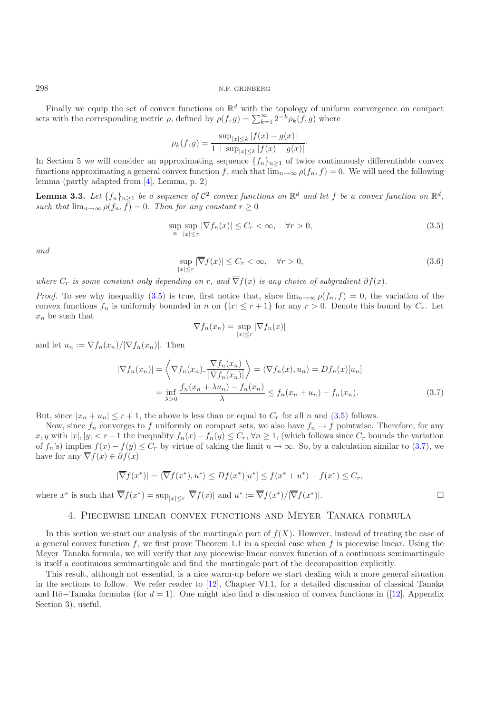Finally we equip the set of convex functions on  $\mathbb{R}^d$  with the topology of uniform convergence on compact sets with the corresponding metric  $\rho$ , defined by  $\rho(f,g) = \sum_{k=1}^{\infty} 2^{-k} \rho_k(f,g)$  where

$$
\rho_k(f,g) = \frac{\sup_{|x| \le k} |f(x) - g(x)|}{1 + \sup_{|x| \le k} |f(x) - g(x)|}.
$$

In Section 5 we will consider an approximating sequence  $\{f_n\}_{n\geq 1}$  of twice continuously differentiable convex functions approximating a general convex function f, such that  $\lim_{n\to\infty} \rho(f_n, f) = 0$ . We will need the following lemma (partly adapted from [\[4](#page-13-1)], Lemma, p. 2)

<span id="page-5-3"></span>**Lemma 3.3.** Let  $\{f_n\}_{n\geq 1}$  be a sequence of  $\mathcal{C}^2$  convex functions on  $\mathbb{R}^d$  and let f be a convex function on  $\mathbb{R}^d$ , *such that*  $\lim_{n\to\infty} \rho(f_n, f) = 0$ *. Then for any constant*  $r \geq 0$ 

<span id="page-5-0"></span>
$$
\sup_{n} \sup_{|x| \le r} |\nabla f_n(x)| \le C_r < \infty, \quad \forall r > 0,
$$
\n(3.5)

*and*

<span id="page-5-2"></span>
$$
\sup_{|x| \le r} |\overline{\nabla} f(x)| \le C_r < \infty, \quad \forall r > 0,
$$
\n(3.6)

*where*  $C_r$  *is some constant only depending on* r, and  $\overline{\nabla} f(x)$  *is any choice of subgradient*  $\partial f(x)$ *.* 

*Proof.* To see why inequality [\(3.5\)](#page-5-0) is true, first notice that, since  $\lim_{n\to\infty} \rho(f_n, f) = 0$ , the variation of the convex functions  $f_n$  is uniformly bounded in n on  $\{|x| \le r+1\}$  for any  $r > 0$ . Denote this bound by  $C_r$ . Let  $x_n$  be such that

$$
\nabla f_n(x_n) = \sup_{|x| \le r} |\nabla f_n(x)|
$$

and let  $u_n := \nabla f_n(x_n) / |\nabla f_n(x_n)|$ . Then

$$
|\nabla f_n(x_n)| = \left\langle \nabla f_n(x_n), \frac{\nabla f_n(x_n)}{|\nabla f_n(x_n)|} \right\rangle = \left\langle \nabla f_n(x), u_n \right\rangle = Df_n(x)[u_n]
$$

$$
= \inf_{\lambda > 0} \frac{f_n(x_n + \lambda u_n) - f_n(x_n)}{\lambda} \le f_n(x_n + u_n) - f_n(x_n). \tag{3.7}
$$

But, since  $|x_n + u_n| \leq r + 1$ , the above is less than or equal to  $C_r$  for all n and [\(3.5\)](#page-5-0) follows.

Now, since  $f_n$  converges to f uniformly on compact sets, we also have  $f_n \to f$  pointwise. Therefore, for any x, y with  $|x|, |y| < r+1$  the inequality  $f_n(x) - f_n(y) \leq C_r$ ,  $\forall n \geq 1$ , (which follows since  $C_r$  bounds the variation of  $f_n$ 's) implies  $f(x) - f(y) \leq C_r$  by virtue of taking the limit  $n \to \infty$ . So, by a calculation similar to [\(3.7\)](#page-5-1), we have for any  $\overline{\nabla} f(x) \in \partial f(x)$ 

$$
|\overline{\nabla}f(x^*)| = \langle \overline{\nabla}f(x^*), u^* \rangle \le Df(x^*)[u^*] \le f(x^* + u^*) - f(x^*) \le C_r,
$$

<span id="page-5-1"></span> $\Box$ 

where  $x^*$  is such that  $\overline{\nabla} f(x^*) = \sup_{|x| \le r} |\overline{\nabla} f(x)|$  and  $u^* := \overline{\nabla} f(x^*)/|\overline{\nabla} f(x^*)|$ .

## 4. Piecewise linear convex functions and Meyer–Tanaka formula

In this section we start our analysis of the martingale part of  $f(X)$ . However, instead of treating the case of a general convex function f, we first prove Theorem 1.1 in a special case when f is piecewise linear. Using the Meyer–Tanaka formula, we will verify that any piecewise linear convex function of a continuous semimartingale is itself a continuous semimartingale and find the martingale part of the decomposition explicitly.

This result, although not essential, is a nice warm-up before we start dealing with a more general situation in the sections to follow. We refer reader to [\[12\]](#page-13-13), Chapter VI.1, for a detailed discussion of classical Tanaka and Itô–Tanaka formulas (for  $d = 1$ ). One might also find a discussion of convex functions in ([\[12\]](#page-13-13), Appendix Section 3), useful.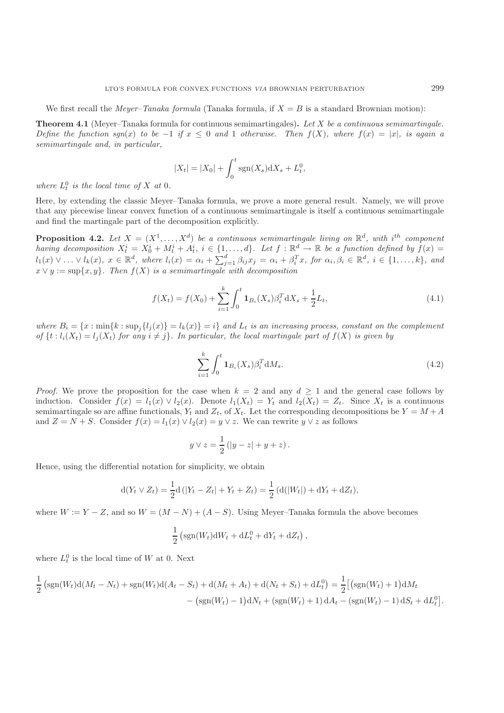We first recall the *Meyer–Tanaka formula* (Tanaka formula, if  $X = B$  is a standard Brownian motion):

**Theorem 4.1** (Meyer–Tanaka formula for continuous semimartingales)**.** *Let* X *be a continuous semimartingale. Define the function sgn(x) to be* −1 *if*  $x \le 0$  *and* 1 *otherwise. Then*  $f(X)$ *, where*  $f(x) = |x|$ *, is again a semimartingale and, in particular,*

$$
|X_t| = |X_0| + \int_0^t \text{sgn}(X_s) \text{d}X_s + L_t^0,
$$

where  $L_t^0$  *is the local time of* X *at* 0*.* 

Here, by extending the classic Meyer–Tanaka formula, we prove a more general result. Namely, we will prove that any piecewise linear convex function of a continuous semimartingale is itself a continuous semimartingale and find the martingale part of the decomposition explicitly.

**Proposition 4.2.** Let  $X = (X^1, \ldots, X^d)$  be a continuous semimartingale living on  $\mathbb{R}^d$ , with i<sup>th</sup> component *having decomposition*  $X_t^i = X_0^i + M_t^i + A_t^i$ ,  $i \in \{1, ..., d\}$ . Let  $f : \mathbb{R}^d \to \mathbb{R}$  be a function defined by  $f(x) =$  $l_1(x) \vee \ldots \vee l_k(x)$ ,  $x \in \mathbb{R}^d$ , where  $l_i(x) = \alpha_i + \sum_{j=1}^d \beta_{ij} x_j = \alpha_i + \beta_i^T x$ , for  $\alpha_i, \beta_i \in \mathbb{R}^d$ ,  $i \in \{1, \ldots, k\}$ , and  $x \vee y := \sup\{x, y\}$ . Then  $f(X)$  is a semimartingale with decomposition

<span id="page-6-0"></span>
$$
f(X_t) = f(X_0) + \sum_{i=1}^{k} \int_0^t \mathbf{1}_{B_i}(X_s) \beta_i^T dX_s + \frac{1}{2} L_t,
$$
\n(4.1)

where  $B_i = \{x : \min\{k : \sup_j \{l_j(x)\} = l_k(x)\} = i\}$  and  $L_t$  *is an increasing process, constant on the complement of*  $\{t : l_i(X_t) = l_j(X_t) \text{ for any } i \neq j\}$ . In particular, the local martingale part of  $f(X)$  is given by

<span id="page-6-1"></span>
$$
\sum_{i=1}^{k} \int_{0}^{t} \mathbf{1}_{B_{i}}(X_{s}) \beta_{i}^{T} dM_{s}.
$$
\n(4.2)

*Proof.* We prove the proposition for the case when  $k = 2$  and any  $d \ge 1$  and the general case follows by induction. Consider  $f(x) = l_1(x) \vee l_2(x)$ . Denote  $l_1(X_t) = Y_t$  and  $l_2(X_t) = Z_t$ . Since  $X_t$  is a continuous semimartingale so are affine functionals,  $Y_t$  and  $Z_t$ , of  $X_t$ . Let the corresponding decompositions be  $Y = M + A$ and  $Z = N + S$ . Consider  $f(x) = l_1(x) \vee l_2(x) = y \vee z$ . We can rewrite  $y \vee z$  as follows

$$
y \vee z = \frac{1}{2} (|y - z| + y + z).
$$

Hence, using the differential notation for simplicity, we obtain

$$
d(Y_t \vee Z_t) = \frac{1}{2}d(|Y_t - Z_t| + Y_t + Z_t) = \frac{1}{2}(d(|W_t|) + dY_t + dZ_t),
$$

where  $W := Y - Z$ , and so  $W = (M - N) + (A - S)$ . Using Meyer–Tanaka formula the above becomes

$$
\frac{1}{2} \left( \text{sgn}(W_t) \mathrm{d}W_t + \mathrm{d}L_t^0 + \mathrm{d}Y_t + \mathrm{d}Z_t \right),\,
$$

where  $L_t^0$  is the local time of W at 0. Next

$$
\frac{1}{2} \left( \text{sgn}(W_t) \text{d}(M_t - N_t) + \text{sgn}(W_t) \text{d}(A_t - S_t) + \text{d}(M_t + A_t) + \text{d}(N_t + S_t) + \text{d}L_t^0 \right) = \frac{1}{2} \left[ \left( \text{sgn}(W_t) + 1 \right) \text{d}M_t \right. \\ \left. - \left( \text{sgn}(W_t) - 1 \right) \text{d}N_t + \left( \text{sgn}(W_t) + 1 \right) \text{d}A_t - \left( \text{sgn}(W_t) - 1 \right) \text{d}S_t + \text{d}L_t^0 \right].
$$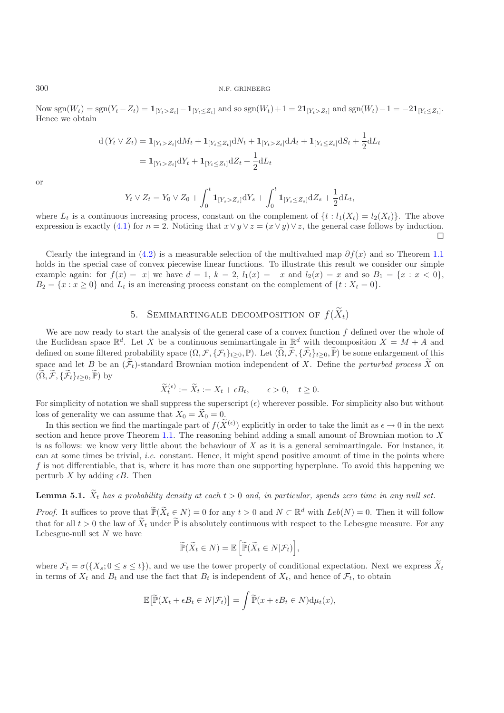Now sgn( $W_t$ ) = sgn( $Y_t - Z_t$ ) = **1**<sub>[Y*t*</sub>≤Z<sub>t</sub>] − **1**<sub>[Y<sub>t</sub>≤Z<sub>t</sub>] and so sgn( $W_t$ )+1 = 2**1**<sub>[Y<sub>t</sub>≤Z<sub>t</sub>]. and sgn( $W_t$ )−1 = −2**1**<sub>[Y<sub>t</sub> ≤Z<sub>t</sub>].</sub></sub></sub> Hence we obtain

$$
d(Y_t \vee Z_t) = \mathbf{1}_{[Y_t > Z_t]} dM_t + \mathbf{1}_{[Y_t \le Z_t]} dN_t + \mathbf{1}_{[Y_t > Z_t]} dA_t + \mathbf{1}_{[Y_t \le Z_t]} dS_t + \frac{1}{2} dL_t
$$
  
=  $\mathbf{1}_{[Y_t > Z_t]} dY_t + \mathbf{1}_{[Y_t \le Z_t]} dZ_t + \frac{1}{2} dL_t$ 

or

$$
Y_t \vee Z_t = Y_0 \vee Z_0 + \int_0^t \mathbf{1}_{[Y_s > Z_s]} \mathrm{d}Y_s + \int_0^t \mathbf{1}_{[Y_s \le Z_s]} \mathrm{d}Z_s + \frac{1}{2} \mathrm{d}L_t,
$$

where  $L_t$  is a continuous increasing process, constant on the complement of  $\{t : l_1(X_t) = l_2(X_t)\}\.$  The above expression is exactly [\(4.1\)](#page-6-0) for  $n = 2$ . Noticing that  $x \vee y \vee z = (x \vee y) \vee z$ , the general case follows by induction.  $\Box$ 

Clearly the integrand in [\(4.2\)](#page-6-1) is a measurable selection of the multivalued map  $\partial f(x)$  and so Theorem [1.1](#page-1-0) holds in the special case of convex piecewise linear functions. To illustrate this result we consider our simple example again: for  $f(x) = |x|$  we have  $d = 1, k = 2, l_1(x) = -x$  and  $l_2(x) = x$  and so  $B_1 = \{x : x < 0\}$ ,  $B_2 = \{x : x \ge 0\}$  and  $L_t$  is an increasing process constant on the complement of  $\{t : X_t = 0\}$ .

# 5. SEMIMARTINGALE DECOMPOSITION OF  $f(\widetilde{X}_t)$

We are now ready to start the analysis of the general case of a convex function  $f$  defined over the whole of the Euclidean space  $\mathbb{R}^d$ . Let X be a continuous semimartingale in  $\mathbb{R}^d$  with decomposition  $X = M + A$  and defined on some filtered probability space  $(\Omega, \mathcal{F}, \{\mathcal{F}_t\}_{t>0}, \mathbb{P})$ . Let  $(\widetilde{\Omega}, \widetilde{\mathcal{F}}, \{\widetilde{\mathcal{F}}_t\}_{t>0}, \widetilde{\mathbb{P}})$  be some enlargement of this space and let B be an  $(\widetilde{\mathcal{F}}_t)$ -standard Brownian motion independent of X. Define the *perturbed process*  $\widetilde{X}$  on  $(\widetilde{\Omega}, \widetilde{\mathcal{F}}, \{\widetilde{\mathcal{F}}_t\}_{t>0}, \widetilde{\mathbb{P}})$  by

$$
\widetilde{X}_t^{(\epsilon)} := \widetilde{X}_t := X_t + \epsilon B_t, \qquad \epsilon > 0, \quad t \ge 0.
$$

For simplicity of notation we shall suppress the superscript  $(\epsilon)$  wherever possible. For simplicity also but without loss of generality we can assume that  $X_0 = \tilde{X}_0 = 0$ .

In this section we find the martingale part of  $f(\tilde{X}^{(\epsilon)})$  explicitly in order to take the limit as  $\epsilon \to 0$  in the next section and hence prove Theorem [1.1.](#page-1-0) The reasoning behind adding a small amount of Brownian motion to  $X$ is as follows: we know very little about the behaviour of  $X$  as it is a general semimartingale. For instance, it can at some times be trivial, *i.e.* constant. Hence, it might spend positive amount of time in the points where f is not differentiable, that is, where it has more than one supporting hyperplane. To avoid this happening we perturb X by adding  $\epsilon B$ . Then

# <span id="page-7-0"></span>**Lemma 5.1.**  $\tilde{X}_t$  *has a probability density at each*  $t > 0$  *and, in particular, spends zero time in any null set.*

*Proof.* It suffices to prove that  $\widetilde{\mathbb{P}}(\widetilde{X}_t \in N) = 0$  for any  $t > 0$  and  $N \subset \mathbb{R}^d$  with  $Leb(N) = 0$ . Then it will follow that for all  $t > 0$  the law of  $\widetilde{X}_t$  under  $\widetilde{\mathbb{P}}$  is absolutely continuous with respect to the Lebesgue measure. For any Lebesgue-null set  $N$  we have

$$
\widetilde{\mathbb{P}}(\widetilde{X}_t \in N) = \mathbb{E}\left[\widetilde{\mathbb{P}}(\widetilde{X}_t \in N | \mathcal{F}_t)\right],
$$

where  $\mathcal{F}_t = \sigma({X_s; 0 \le s \le t})$ , and we use the tower property of conditional expectation. Next we express  $\tilde{X}_t$ in terms of  $X_t$  and  $B_t$  and use the fact that  $B_t$  is independent of  $X_t$ , and hence of  $\mathcal{F}_t$ , to obtain

$$
\mathbb{E}\big[\widetilde{\mathbb{P}}(X_t + \epsilon B_t \in N | \mathcal{F}_t)\big] = \int \widetilde{\mathbb{P}}(x + \epsilon B_t \in N) \mathrm{d}\mu_t(x),
$$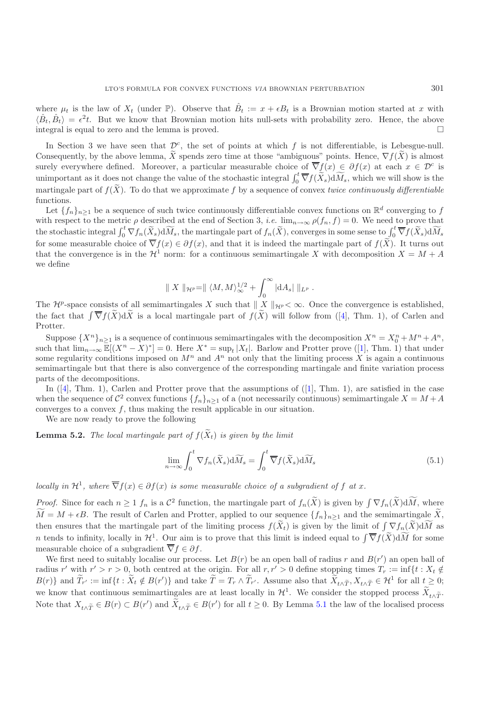where  $\mu_t$  is the law of  $X_t$  (under  $\mathbb{P}$ ). Observe that  $\hat{B}_t := x + \epsilon B_t$  is a Brownian motion started at x with  $\langle \hat{B}_t, \hat{B}_t \rangle = \epsilon^2 t$ . But we know that Brownian motion hits null-sets with probability zero. Hence, the above integral is equal to zero and the lemma is proved.  $\Box$ 

In Section 3 we have seen that  $\mathcal{D}^c$ , the set of points at which f is not differentiable, is Lebesgue-null. Consequently, by the above lemma, X spends zero time at those "ambiguous" points. Hence,  $\nabla f(X)$  is almost surely everywhere defined. Moreover, a particular measurable choice of  $\overline{\nabla} f(x) \in \partial f(x)$  at each  $x \in \mathcal{D}^c$  is unimportant as it does not change the value of the stochastic integral  $\int_0^t \overline{\nabla} f(\tilde{X}_s) d\widetilde{M}_s$ , which we will show is the martingale part of  $f(\tilde{X})$ . To do that we approximate f by a sequence of convex *twice continuously differentiable* functions.

Let  $\{f_n\}_{n\geq 1}$  be a sequence of such twice continuously differentiable convex functions on  $\mathbb{R}^d$  converging to f with respect to the metric  $\rho$  described at the end of Section 3, *i.e.*  $\lim_{n\to\infty} \rho(f_n, f) = 0$ . We need to prove that the stochastic integral  $\int_0^t \nabla f_n(\widetilde{X}_s) d\widetilde{M}_s$ , the martingale part of  $f_n(\widetilde{X})$ , converges in some sense to  $\int_0^t \overline{\nabla} f(\widetilde{X}_s) d\widetilde{M}_s$ for some measurable choice of  $\overline{\nabla} f(x) \in \partial f(x)$ , and that it is indeed the martingale part of  $f(\tilde{X})$ . It turns out that the convergence is in the  $\mathcal{H}^1$  norm: for a continuous semimartingale X with decomposition  $X = M + A$ we define

$$
\parallel X\parallel_{\mathcal{H}^p}=\parallel \langle M,M\rangle^{1/2}_{\infty}+\int_0^{\infty}|\mathrm{d}A_s|\parallel_{L^p}.
$$

The  $\mathcal{H}^p$ -space consists of all semimartingales X such that  $|| X ||_{\mathcal{H}^p} < \infty$ . Once the convergence is established, the fact that  $\int \overline{\nabla} f(\tilde{X}) d\tilde{X}$  is a local martingale part of  $f(\tilde{X})$  will follow from ([\[4](#page-13-1)], Thm. 1), of Carlen and Protter.

Suppose  $\{X^n\}_{n\geq 1}$  is a sequence of continuous semimartingales with the decomposition  $X^n = X_0^n + M^n + A^n$ , such that  $\lim_{n\to\infty} \mathbb{E}[(X^n - X)^*] = 0$ . Here  $X^* = \sup_t |X_t|$ . Barlow and Protter prove ([\[1\]](#page-13-14), Thm. 1) that under some regularity conditions imposed on  $M<sup>n</sup>$  and  $A<sup>n</sup>$  not only that the limiting process X is again a continuous semimartingale but that there is also convergence of the corresponding martingale and finite variation process parts of the decompositions.

In ([\[4\]](#page-13-1), Thm. 1), Carlen and Protter prove that the assumptions of ([\[1\]](#page-13-14), Thm. 1), are satisfied in the case when the sequence of  $\mathcal{C}^2$  convex functions  $\{f_n\}_{n\geq 1}$  of a (not necessarily continuous) semimartingale  $X = M + A$ converges to a convex  $f$ , thus making the result applicable in our situation.

We are now ready to prove the following

<span id="page-8-0"></span>**Lemma 5.2.** *The local martingale part of*  $f(\widetilde{X}_t)$  *is given by the limit* 

<span id="page-8-1"></span>
$$
\lim_{n \to \infty} \int_0^t \nabla f_n(\widetilde{X}_s) d\widetilde{M}_s = \int_0^t \overline{\nabla} f(\widetilde{X}_s) d\widetilde{M}_s \tag{5.1}
$$

*locally in*  $\mathcal{H}^1$ *, where*  $\overline{\nabla} f(x) \in \partial f(x)$  *is some measurable choice of a subgradient of* f *at* x.

*Proof.* Since for each  $n \geq 1$   $f_n$  is a  $\mathcal{C}^2$  function, the martingale part of  $f_n(\tilde{X})$  is given by  $\int \nabla f_n(\tilde{X}) d\tilde{M}$ , where  $M = M + \epsilon B$ . The result of Carlen and Protter, applied to our sequence  $\{f_n\}_{n\geq 1}$  and the semimartingale X, then ensures that the martingale part of the limiting process  $f(\tilde{X}_t)$  is given by the limit of  $\int \nabla f_n(\tilde{X}) d\tilde{M}$  as n tends to infinity, locally in  $\mathcal{H}^1$ . Our aim is to prove that this limit is indeed equal to  $\int \overline{\nabla} f(\tilde{X}) d\tilde{M}$  for some measurable choice of a subgradient  $\overline{\nabla} f \in \partial f$ .

We first need to suitably localise our process. Let  $B(r)$  be an open ball of radius r and  $B(r')$  an open ball of radius r' with  $r' > r > 0$ , both centred at the origin. For all  $r, r' > 0$  define stopping times  $T_r := \inf\{t : X_t \notin$  $B(r)$ } and  $\widetilde{T}_{r'} := \inf\{t : \widetilde{X}_t \notin B(r')\}$  and take  $\widetilde{T} = T_r \wedge \widetilde{T}_{r'}$ . Assume also that  $\widetilde{X}_{t \wedge \widetilde{T}}, X_{t \wedge \widetilde{T}} \in \mathcal{H}^1$  for all  $t \geq 0$ ; we know that continuous semimartingales are at least locally in  $\mathcal{H}^1$ . We consider the stopped process  $\bar{X}_{t \wedge \tilde{T}}$ . Note that  $X_{t\wedge \widetilde{T}} \in B(r) \subset B(r')$  and  $X_{t\wedge \widetilde{T}} \in B(r')$  for all  $t \geq 0$ . By Lemma [5.1](#page-7-0) the law of the localised process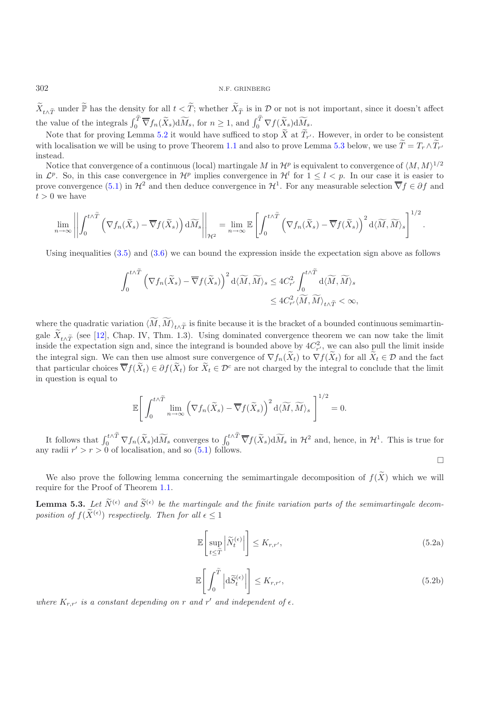$\widetilde{X}_{t\wedge\widetilde{T}}$  under  $\widetilde{\mathbb{P}}$  has the density for all  $t<\widetilde{T}$ ; whether  $\widetilde{X}_{\widetilde{T}}$  is in  $\mathcal D$  or not is not important, since it doesn't affect the value of the integrals  $\int_0^{\widetilde{T}} \overline{\nabla} f_n(\widetilde{X}_s) d\widetilde{M}_s$ , for  $n \geq 1$ , and  $\int_0^{\widetilde{T}} \nabla f(\widetilde{X}_s) d\widetilde{M}_s$ .

Note that for proving Lemma [5.2](#page-8-0) it would have sufficed to stop X at  $T_{r'}$ . However, in order to be consistent with localisation we will be using to prove Theorem [1.1](#page-1-0) and also to prove Lemma [5.3](#page-9-0) below, we use  $T = T_r \wedge T_{r'}$ instead.

Notice that convergence of a continuous (local) martingale M in  $\mathcal{H}^p$  is equivalent to convergence of  $\langle M, M \rangle^{1/2}$ in  $\mathcal{L}^p$ . So, in this case convergence in  $\mathcal{H}^p$  implies convergence in  $\mathcal{H}^l$  for  $1 \leq l \leq p$ . In our case it is easier to prove convergence [\(5.1\)](#page-8-1) in  $\mathcal{H}^2$  and then deduce convergence in  $\mathcal{H}^1$ . For any measurable selection  $\overline{\nabla} f \in \partial f$  and  $t > 0$  we have

$$
\lim_{n\to\infty}\left|\left|\int_0^{t\wedge\widetilde{T}}\left(\nabla f_n(\widetilde{X}_s)-\overline{\nabla} f(\widetilde{X}_s)\right)\mathrm{d}\widetilde{M}_s\right|\right|_{\mathcal{H}^2}=\lim_{n\to\infty}\mathbb{E}\left[\int_0^{t\wedge\widetilde{T}}\left(\nabla f_n(\widetilde{X}_s)-\overline{\nabla} f(\widetilde{X}_s)\right)^2\mathrm{d}\langle\widetilde{M},\widetilde{M}\rangle_s\right]^{1/2}.
$$

Using inequalities  $(3.5)$  and  $(3.6)$  we can bound the expression inside the expectation sign above as follows

$$
\begin{split} \int_0^{t\wedge \widetilde T}\left(\nabla f_n(\widetilde X_s)-\overline \nabla f(\widetilde X_s)\right)^2\mathrm{d}\langle \widetilde M,\widetilde M\rangle_s &\leq 4C_{r'}^2\int_0^{t\wedge \widetilde T}\mathrm{d}\langle \widetilde M,\widetilde M\rangle_s\\ &\leq 4C_{r'}^2\langle \widetilde M,\widetilde M\rangle_{t\wedge \widetilde T}<\infty, \end{split}
$$

where the quadratic variation  $\langle M, M \rangle_{t \wedge \widetilde{T}}$  is finite because it is the bracket of a bounded continuous semimartingale  $X_{t\wedge\widetilde{T}}$  (see [\[12](#page-13-13)], Chap. IV, Thm. 1.3). Using dominated convergence theorem we can now take the limit inside the expectation sign and, since the integrand is bounded above by  $4C_{r}^2$ , we can also pull the limit inside the integral sign. We can then use almost sure convergence of  $\nabla f_n(\tilde{X}_t)$  to  $\nabla f(\tilde{X}_t)$  for all  $\tilde{X}_t \in \mathcal{D}$  and the fact that particular choices  $\overline{\nabla} f(\widetilde{X}_t) \in \partial f(\widetilde{X}_t)$  for  $\widetilde{X}_t \in \mathcal{D}^c$  are not charged by the integral to conclude that the limit in question is equal to

$$
\mathbb{E}\Bigg[\int_0^{t\wedge \widetilde{T}} \lim_{n\to\infty} \left(\nabla f_n(\widetilde{X}_s)-\overline{\nabla} f(\widetilde{X}_s)\right)^2 \mathrm{d}\langle \widetilde{M},\widetilde{M}\rangle_s\Bigg]^{1/2}=0.
$$

It follows that  $\int_0^{t\wedge \tilde{T}} \nabla f_n(\tilde{X}_s) d\widetilde{M}_s$  converges to  $\int_0^{t\wedge \tilde{T}} \nabla f(\tilde{X}_s) d\widetilde{M}_s$  in  $\mathcal{H}^2$  and, hence, in  $\mathcal{H}^1$ . This is true for any radii  $r' > r > 0$  of localisation, and so  $(5.1)$  follows.  $\Box$ 

<span id="page-9-0"></span>We also prove the following lemma concerning the semimartingale decomposition of  $f(\tilde{X})$  which we will require for the Proof of Theorem [1.1.](#page-1-0)

**Lemma 5.3.** Let  $\widetilde{N}^{(\epsilon)}$  and  $\widetilde{S}^{(\epsilon)}$  be the martingale and the finite variation parts of the semimartingale decomposition of  $f(\widetilde{X}^{(\epsilon)})$  respectively. Then for all  $\epsilon \leq 1$ 

<span id="page-9-1"></span>
$$
\mathbb{E}\left[\sup_{t\leq\tilde{T}}\left|\tilde{N}_{t}^{(\epsilon)}\right|\right] \leq K_{r,r'},\tag{5.2a}
$$

<span id="page-9-2"></span>
$$
\mathbb{E}\left[\left.\int_{0}^{\widetilde{T}}\left|\mathrm{d}\widetilde{S}_{t}^{\left(\epsilon\right)}\right|\right]\leq K_{r,r'},\tag{5.2b}
$$

where  $K_{r,r'}$  is a constant depending on r and r' and independent of  $\epsilon$ .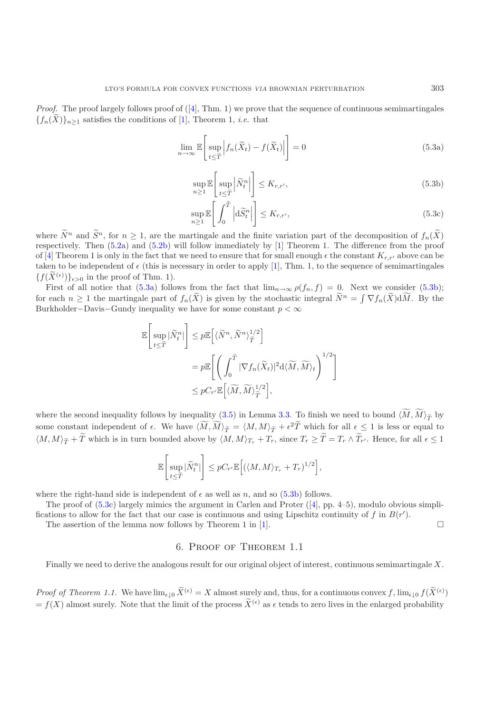*Proof.* The proof largely follows proof of  $([4], Thm. 1)$  $([4], Thm. 1)$  $([4], Thm. 1)$  we prove that the sequence of continuous semimartingales  ${f_n(\tilde{X})}_{n\geq 1}$  satisfies the conditions of [\[1\]](#page-13-14), Theorem 1, *i.e.* that

<span id="page-10-0"></span>
$$
\lim_{n \to \infty} \mathbb{E} \left[ \sup_{t \le \tilde{T}} \left| f_n(\tilde{X}_t) - f(\tilde{X}_t) \right| \right] = 0 \tag{5.3a}
$$

<span id="page-10-1"></span>
$$
\sup_{n\geq 1} \mathbb{E}\left[\sup_{t\leq \tilde{T}} \left|\tilde{N}_t^n\right|\right] \leq K_{r,r'},\tag{5.3b}
$$

<span id="page-10-2"></span>
$$
\sup_{n\geq 1} \mathbb{E}\left[\left.\int_0^{\widetilde{T}} \left|\mathrm{d}\widetilde{S}_t^n\right|\right]\right] \leq K_{r,r'},\tag{5.3c}
$$

where  $\widetilde{N}^n$  and  $\widetilde{S}^n$ , for  $n \geq 1$ , are the martingale and the finite variation part of the decomposition of  $f_n(\widetilde{X})$ respectively. Then [\(5.2a\)](#page-9-1) and [\(5.2b\)](#page-9-2) will follow immediately by [\[1](#page-13-14)] Theorem 1. The difference from the proof of [\[4](#page-13-1)] Theorem 1 is only in the fact that we need to ensure that for small enough  $\epsilon$  the constant  $K_{r,r'}$  above can be taken to be independent of  $\epsilon$  (this is necessary in order to apply [\[1\]](#page-13-14), Thm. 1, to the sequence of semimartingales  ${f(\widetilde{X}^{(\epsilon)})}_{\epsilon>0}$  in the proof of Thm. 1).

First of all notice that  $(5.3a)$  follows from the fact that  $\lim_{n\to\infty}\rho(f_n, f) = 0$ . Next we consider  $(5.3b)$ ; for each  $n \geq 1$  the martingale part of  $f_n(\tilde{X})$  is given by the stochastic integral  $\tilde{N}^n = \int \nabla f_n(\tilde{X}) d\tilde{M}$ . By the Burkholder–Davis–Gundy inequality we have for some constant  $p < \infty$ 

$$
\mathbb{E}\left[\sup_{t\leq \widetilde{T}}|\widetilde{N}^n_t|\right] \leq p \mathbb{E}\left[\langle \widetilde{N}^n, \widetilde{N}^n\rangle_{\widetilde{T}}^{1/2}\right]
$$
  
=  $p \mathbb{E}\left[\left(\int_0^{\widetilde{T}} |\nabla f_n(\widetilde{X}_t)|^2 d\langle \widetilde{M}, \widetilde{M}\rangle_t\right)^{1/2}\right]$   
 $\leq p C_{r'} \mathbb{E}\left[\langle \widetilde{M}, \widetilde{M}\rangle_{\widetilde{T}}^{1/2}\right],$ 

where the second inequality follows by inequality [\(3.5\)](#page-5-0) in Lemma [3.3.](#page-5-3) To finish we need to bound  $\langle M, M \rangle_{\tilde{T}}$  by some constant independent of  $\epsilon$ . We have  $\langle M, M \rangle_{\tilde{T}} = \langle M, M \rangle_{\tilde{T}} + \epsilon^2 \tilde{T}$  which for all  $\epsilon \leq 1$  is less or equal to  $\langle M, M \rangle_{\widetilde{T}} + T$  which is in turn bounded above by  $\langle M, M \rangle_{T_r} + T_r$ , since  $T_r \ge T = T_r \wedge T_{r'}$ . Hence, for all  $\epsilon \le 1$ 

$$
\mathbb{E}\Bigg[\sup_{t\leq \tilde T}|\tilde N_t^n|\Bigg]\leq pC_{r'}\mathbb{E}\Big[\big(\langle M,M\rangle_{T_r}+T_r)^{1/2}\Big],
$$

where the right-hand side is independent of  $\epsilon$  as well as n, and so  $(5.3b)$  follows.

The proof of  $(5.3c)$  largely mimics the argument in Carlen and Proter  $([4], pp. 4-5)$  $([4], pp. 4-5)$  $([4], pp. 4-5)$ , modulo obvious simplifications to allow for the fact that our case is continuous and using Lipschitz continuity of f in  $B(r')$ .  $\Box$ 

The assertion of the lemma now follows by Theorem 1 in [\[1\]](#page-13-14).

### 6. Proof of Theorem 1.1

Finally we need to derive the analogous result for our original object of interest, continuous semimartingale X.

*Proof of Theorem 1.1.* We have  $\lim_{\epsilon \downarrow 0} \widetilde{X}^{(\epsilon)} = X$  almost surely and, thus, for a continuous convex f,  $\lim_{\epsilon \downarrow 0} f(\widetilde{X}^{(\epsilon)})$  $= f(X)$  almost surely. Note that the limit of the process  $\tilde{X}^{(\epsilon)}$  as  $\epsilon$  tends to zero lives in the enlarged probability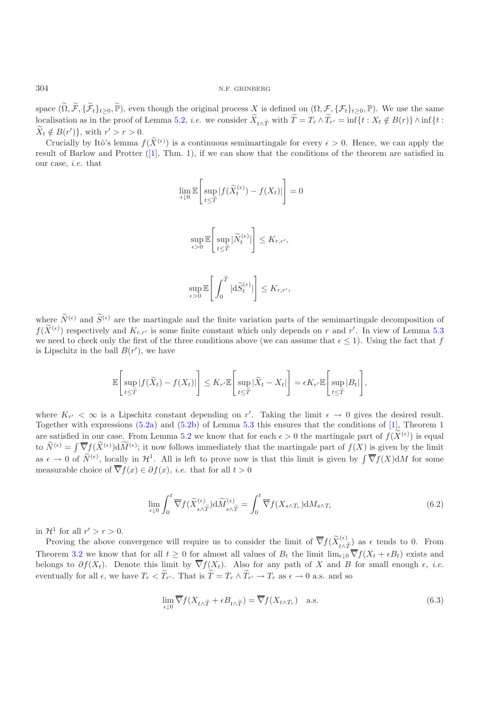space  $(\widetilde{\Omega}, \widetilde{\mathcal{F}}, \{\widetilde{\mathcal{F}}_t\}_{t\geq0}, \widetilde{\mathbb{P}})$ , even though the original process  $X$  is defined on  $(\Omega, \mathcal{F}, \{\mathcal{F}_t\}_{t\geq0}, \mathbb{P})$ . We use the same localisation as in the proof of Lemma [5.2,](#page-8-0) *i.e.* we consider  $X_{t \wedge \tilde{T}}$  with  $T = T_r \wedge T_{r'} = \inf\{t : X_t \notin B(r)\} \wedge \inf\{t : X_t \notin B(r)\}$  $X_t \notin B(r')\},\$  with  $r' > r > 0.$ 

Crucially by Itô's lemma  $f(\widetilde{X}^{(\epsilon)})$  is a continuous semimartingale for every  $\epsilon > 0$ . Hence, we can apply the result of Barlow and Protter ([\[1](#page-13-14)], Thm. 1), if we can show that the conditions of the theorem are satisfied in our case, *i.e.* that

$$
\lim_{\epsilon \downarrow 0} \mathbb{E} \left[ \sup_{t \leq \tilde{T}} |f(\tilde{X}_t^{(\epsilon)}) - f(X_t)| \right] = 0
$$
  

$$
\sup_{\epsilon > 0} \mathbb{E} \left[ \sup_{t \leq \tilde{T}} |\tilde{N}_t^{(\epsilon)}| \right] \leq K_{r,r'},
$$
  

$$
\sup_{\epsilon > 0} \mathbb{E} \left[ \int_0^{\tilde{T}} |d\tilde{S}_t^{(\epsilon)}| \right] \leq K_{r,r'},
$$

where  $\widetilde{N}^{(\epsilon)}$  and  $\widetilde{S}^{(\epsilon)}$  are the martingale and the finite variation parts of the semimartingale decomposition of  $f(\widetilde{X}^{(\epsilon)})$  respectively and  $K_{r,r'}$  is some finite constant which only depends on r and r'. In view of Lemma [5.3](#page-9-0) we need to check only the first of the three conditions above (we can assume that  $\epsilon \leq 1$ ). Using the fact that f is Lipschitz in the ball  $B(r')$ , we have

$$
\mathbb{E}\left[\sup_{t\leq \tilde{T}}|f(\tilde{X}_t)-f(X_t)|\right]\leq K_{r'}\mathbb{E}\left[\sup_{t\leq \tilde{T}}|\tilde{X}_t-X_t|\right]=\epsilon K_{r'}\mathbb{E}\left[\sup_{t\leq \tilde{T}}|B_t|\right],
$$

where  $K_{r'} < \infty$  is a Lipschitz constant depending on r'. Taking the limit  $\epsilon \to 0$  gives the desired result. Together with expressions [\(5.2a\)](#page-9-1) and [\(5.2b\)](#page-9-2) of Lemma [5.3](#page-9-0) this ensures that the conditions of [\[1\]](#page-13-14), Theorem 1 are satisfied in our case. From Lemma [5.2](#page-8-0) we know that for each  $\epsilon > 0$  the martingale part of  $f(\tilde{X}^{(\epsilon)})$  is equal to  $\widetilde{N}^{(\epsilon)} = \int \overline{\nabla} f(\widetilde{X}^{(\epsilon)}) d\widetilde{M}^{(\epsilon)}$ ; it now follows immediately that the martingale part of  $f(X)$  is given by the limit as  $\epsilon \to 0$  of  $\widetilde{N}^{(\epsilon)}$ , locally in  $\mathcal{H}^1$ . All is left to prove now is that this limit is given by  $\int \overline{\nabla} f(X) dM$  for some measurable choice of  $\overline{\nabla} f(x) \in \partial f(x)$ , *i.e.* that for all  $t > 0$ 

$$
\lim_{\epsilon \downarrow 0} \int_0^t \overline{\nabla} f(\widetilde{X}_{s \wedge \widetilde{T}}^{(\epsilon)}) \mathrm{d}\widetilde{M}_{s \wedge \widetilde{T}}^{(\epsilon)} = \int_0^t \overline{\nabla} f(X_{s \wedge T_r}) \mathrm{d}M_{s \wedge T_r} \tag{6.2}
$$

<span id="page-11-1"></span>in  $\mathcal{H}^1$  for all  $r' > r > 0$ .

Proving the above convergence will require us to consider the limit of  $\overline{\nabla} f(\widetilde{X}_{t\wedge \widetilde{T}}^{(\epsilon)})$  as  $\epsilon$  tends to 0. From Theorem [3.2](#page-3-1) we know that for all  $t \geq 0$  for almost all values of  $B_t$  the limit  $\lim_{\epsilon \downarrow 0} \nabla f(X_t + \epsilon B_t)$  exists and belongs to  $\partial f(X_t)$ . Denote this limit by  $\nabla f(X_t)$ . Also for any path of X and B for small enough  $\epsilon$ , *i.e.* eventually for all  $\epsilon$ , we have  $T_r < T_{r'}$ . That is  $T = T_r \wedge T_{r'} \to T_r$  as  $\epsilon \to 0$  a.s. and so

<span id="page-11-0"></span>
$$
\lim_{\epsilon \downarrow 0} \overline{\nabla} f(X_{t \wedge \tilde{T}} + \epsilon B_{t \wedge \tilde{T}}) = \overline{\nabla} f(X_{t \wedge T_r}) \quad \text{a.s.}
$$
\n(6.3)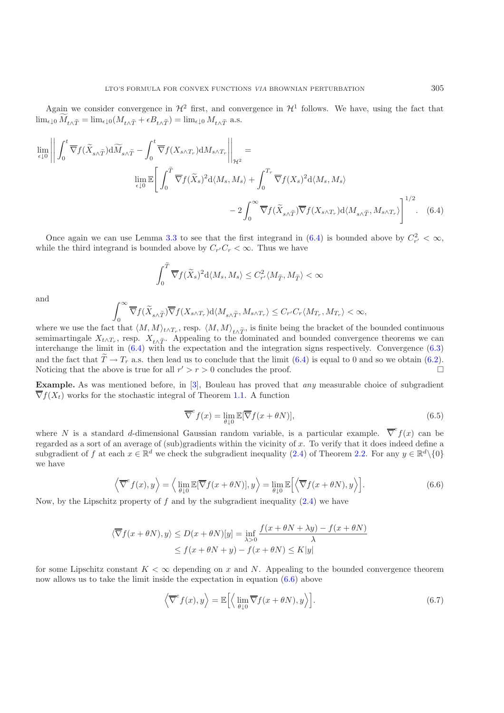Again we consider convergence in  $\mathcal{H}^2$  first, and convergence in  $\mathcal{H}^1$  follows. We have, using the fact that  $\lim_{\epsilon \downarrow 0} M_{t \wedge \tilde{T}} = \lim_{\epsilon \downarrow 0} (M_{t \wedge \tilde{T}} + \epsilon B_{t \wedge \tilde{T}}) = \lim_{\epsilon \downarrow 0} M_{t \wedge \tilde{T}}$  a.s.

$$
\lim_{\epsilon \downarrow 0} \left\| \int_0^t \overline{\nabla} f(\widetilde{X}_{s \wedge \widetilde{T}}) d\widetilde{M}_{s \wedge \widetilde{T}} - \int_0^t \overline{\nabla} f(X_{s \wedge T_r}) dM_{s \wedge T_r} \right\|_{\mathcal{H}^2} =
$$
\n
$$
\lim_{\epsilon \downarrow 0} \mathbb{E} \left[ \int_0^{\widetilde{T}} \overline{\nabla} f(\widetilde{X}_s)^2 d\langle M_s, M_s \rangle + \int_0^{T_r} \overline{\nabla} f(X_s)^2 d\langle M_s, M_s \rangle
$$
\n
$$
- 2 \int_0^{\infty} \overline{\nabla} f(\widetilde{X}_{s \wedge \widetilde{T}}) \overline{\nabla} f(X_{s \wedge T_r}) d\langle M_{s \wedge \widetilde{T}}, M_{s \wedge T_r} \rangle \right]^{1/2} . \quad (6.4)
$$

Once again we can use Lemma [3.3](#page-5-3) to see that the first integrand in [\(6.4\)](#page-12-0) is bounded above by  $C_{r'}^2 < \infty$ , while the third integrand is bounded above by  $C_{r'}C_r < \infty$ . Thus we have

<span id="page-12-0"></span>
$$
\int_0^{\widetilde{T}} \overline{\nabla} f(\widetilde{X}_s)^2 \mathrm{d}\langle M_s, M_s \rangle \leq C_{r'}^2 \langle M_{\widetilde{T}}, M_{\widetilde{T}} \rangle < \infty
$$

and

$$
\int_0^\infty \overline{\nabla} f(\widetilde{X}_{s\wedge \widetilde{T}})\overline{\nabla} f(X_{s\wedge T_r})\mathrm{d}\langle M_{s\wedge \widetilde{T}},M_{s\wedge T_r}\rangle \leq C_{r'}C_r\langle M_{T_r},M_{T_r}\rangle<\infty,
$$

where we use the fact that  $\langle M, M \rangle_{t \wedge T_r}$ , resp.  $\langle M, M \rangle_{t \wedge \widetilde{T}}$ , is finite being the bracket of the bounded continuous semimartingale  $X_{t\wedge T_r}$ , resp.  $X_{t\wedge \tilde{T}}$ . Appealing to the dominated and bounded convergence theorems we can interchange the limit in [\(6.4\)](#page-12-0) with the expectation and the integration signs respectively. Convergence ( and the fact that  $\tilde{T} \to T_r$  a.s. then lead us to conclude that the limit [\(6.4\)](#page-12-0) is equal to 0 and so we obtain [\(6.2\)](#page-11-1).<br>Noticing that the above is true for all  $r' > r > 0$  concludes the proof Noticing that the above is true for all  $r' > r > 0$  concludes the proof.

**Example.** As was mentioned before, in [\[3](#page-13-3)], Bouleau has proved that *any* measurable choice of subgradient  $\overline{\nabla}f(X_t)$  works for the stochastic integral of Theorem [1.1.](#page-1-0) A function

$$
\overline{\nabla}^e f(x) = \lim_{\theta \downarrow 0} \mathbb{E}[\overline{\nabla} f(x + \theta N)],\tag{6.5}
$$

where N is a standard d-dimensional Gaussian random variable, is a particular example.  $\overline{\nabla}^e f(x)$  can be regarded as a sort of an average of (sub)gradients within the vicinity of  $x$ . To verify that it does indeed define a subgradient of f at each  $x \in \mathbb{R}^d$  we check the subgradient inequality [\(2.4\)](#page-3-0) of Theorem [2.2.](#page-2-1) For any  $y \in \mathbb{R}^d \setminus \{0\}$ we have

$$
\left\langle \overline{\nabla}^e f(x), y \right\rangle = \left\langle \lim_{\theta \downarrow 0} \mathbb{E}[\overline{\nabla} f(x + \theta N)], y \right\rangle = \lim_{\theta \downarrow 0} \mathbb{E} \left[ \left\langle \overline{\nabla} f(x + \theta N), y \right\rangle \right]. \tag{6.6}
$$

<span id="page-12-1"></span>Now, by the Lipschitz property of  $f$  and by the subgradient inequality  $(2.4)$  we have

$$
\langle \overline{\nabla} f(x + \theta N), y \rangle \le D(x + \theta N)[y] = \inf_{\lambda > 0} \frac{f(x + \theta N + \lambda y) - f(x + \theta N)}{\lambda}
$$
  

$$
\le f(x + \theta N + y) - f(x + \theta N) \le K|y|
$$

for some Lipschitz constant  $K < \infty$  depending on x and N. Appealing to the bounded convergence theorem now allows us to take the limit inside the expectation in equation [\(6.6\)](#page-12-1) above

<span id="page-12-2"></span>
$$
\left\langle \overline{\nabla}^e f(x), y \right\rangle = \mathbb{E} \left[ \left\langle \lim_{\theta \downarrow 0} \overline{\nabla} f(x + \theta N), y \right\rangle \right]. \tag{6.7}
$$